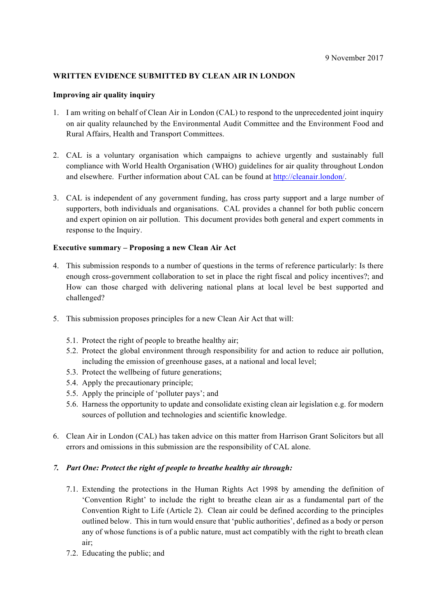## **WRITTEN EVIDENCE SUBMITTED BY CLEAN AIR IN LONDON**

#### **Improving air quality inquiry**

- 1. I am writing on behalf of Clean Air in London (CAL) to respond to the unprecedented joint inquiry on air quality relaunched by the Environmental Audit Committee and the Environment Food and Rural Affairs, Health and Transport Committees.
- 2. CAL is a voluntary organisation which campaigns to achieve urgently and sustainably full compliance with World Health Organisation (WHO) guidelines for air quality throughout London and elsewhere. Further information about CAL can be found at http://cleanair.london/.
- 3. CAL is independent of any government funding, has cross party support and a large number of supporters, both individuals and organisations. CAL provides a channel for both public concern and expert opinion on air pollution. This document provides both general and expert comments in response to the Inquiry.

### **Executive summary – Proposing a new Clean Air Act**

- 4. This submission responds to a number of questions in the terms of reference particularly: Is there enough cross-government collaboration to set in place the right fiscal and policy incentives?; and How can those charged with delivering national plans at local level be best supported and challenged?
- 5. This submission proposes principles for a new Clean Air Act that will:
	- 5.1. Protect the right of people to breathe healthy air;
	- 5.2. Protect the global environment through responsibility for and action to reduce air pollution, including the emission of greenhouse gases, at a national and local level;
	- 5.3. Protect the wellbeing of future generations;
	- 5.4. Apply the precautionary principle;
	- 5.5. Apply the principle of 'polluter pays'; and
	- 5.6. Harness the opportunity to update and consolidate existing clean air legislation e.g. for modern sources of pollution and technologies and scientific knowledge.
- 6. Clean Air in London (CAL) has taken advice on this matter from Harrison Grant Solicitors but all errors and omissions in this submission are the responsibility of CAL alone.

#### *7. Part One: Protect the right of people to breathe healthy air through:*

- 7.1. Extending the protections in the Human Rights Act 1998 by amending the definition of 'Convention Right' to include the right to breathe clean air as a fundamental part of the Convention Right to Life (Article 2). Clean air could be defined according to the principles outlined below. This in turn would ensure that 'public authorities', defined as a body or person any of whose functions is of a public nature, must act compatibly with the right to breath clean air;
- 7.2. Educating the public; and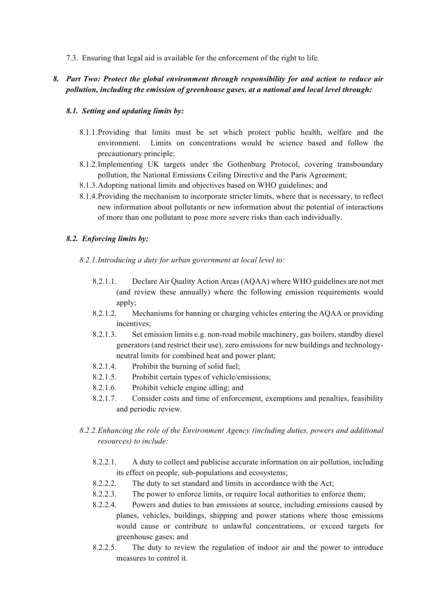7.3. Ensuring that legal aid is available for the enforcement of the right to life.

## *8. Part Two: Protect the global environment through responsibility for and action to reduce air pollution, including the emission of greenhouse gases, at a national and local level through:*

#### *8.1. Setting and updating limits by:*

- 8.1.1.Providing that limits must be set which protect public health, welfare and the environment. Limits on concentrations would be science based and follow the precautionary principle;
- 8.1.2.Implementing UK targets under the Gothenburg Protocol, covering transboundary pollution, the National Emissions Ceiling Directive and the Paris Agreement;
- 8.1.3.Adopting national limits and objectives based on WHO guidelines; and
- 8.1.4.Providing the mechanism to incorporate stricter limits, where that is necessary, to reflect new information about pollutants or new information about the potential of interactions of more than one pollutant to pose more severe risks than each individually.

### *8.2. Enforcing limits by:*

- *8.2.1.Introducing a duty for urban government at local level to:*
	- 8.2.1.1. Declare Air Quality Action Areas (AQAA) where WHO guidelines are not met (and review these annually) where the following emission requirements would apply;
	- 8.2.1.2. Mechanisms for banning or charging vehicles entering the AQAA or providing incentives;
	- 8.2.1.3. Set emission limits e.g. non-road mobile machinery, gas boilers, standby diesel generators (and restrict their use), zero emissions for new buildings and technologyneutral limits for combined heat and power plant;
	- 8.2.1.4. Prohibit the burning of solid fuel;
	- 8.2.1.5. Prohibit certain types of vehicle/emissions;
	- 8.2.1.6. Prohibit vehicle engine idling; and
	- 8.2.1.7. Consider costs and time of enforcement, exemptions and penalties, feasibility and periodic review.
- *8.2.2.Enhancing the role of the Environment Agency (including duties, powers and additional resources) to include:*
	- 8.2.2.1. A duty to collect and publicise accurate information on air pollution, including its effect on people, sub-populations and ecosystems;
	- 8.2.2.2. The duty to set standard and limits in accordance with the Act;
	- 8.2.2.3. The power to enforce limits, or require local authorities to enforce them;
	- 8.2.2.4. Powers and duties to ban emissions at source, including emissions caused by planes, vehicles, buildings, shipping and power stations where those emissions would cause or contribute to unlawful concentrations, or exceed targets for greenhouse gases; and
	- 8.2.2.5. The duty to review the regulation of indoor air and the power to introduce measures to control it.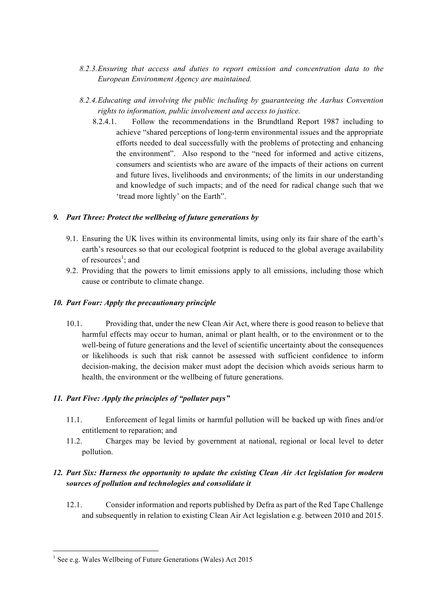- *8.2.3.Ensuring that access and duties to report emission and concentration data to the European Environment Agency are maintained.*
- *8.2.4.Educating and involving the public including by guaranteeing the Aarhus Convention rights to information, public involvement and access to justice.*
	- 8.2.4.1. Follow the recommendations in the Brundtland Report 1987 including to achieve "shared perceptions of long-term environmental issues and the appropriate efforts needed to deal successfully with the problems of protecting and enhancing the environment". Also respond to the "need for informed and active citizens, consumers and scientists who are aware of the impacts of their actions on current and future lives, livelihoods and environments; of the limits in our understanding and knowledge of such impacts; and of the need for radical change such that we 'tread more lightly' on the Earth".

### *9. Part Three: Protect the wellbeing of future generations by*

- 9.1. Ensuring the UK lives within its environmental limits, using only its fair share of the earth's earth's resources so that our ecological footprint is reduced to the global average availability of resources<sup>1</sup>; and
- 9.2. Providing that the powers to limit emissions apply to all emissions, including those which cause or contribute to climate change.

### *10. Part Four: Apply the precautionary principle*

10.1. Providing that, under the new Clean Air Act, where there is good reason to believe that harmful effects may occur to human, animal or plant health, or to the environment or to the well-being of future generations and the level of scientific uncertainty about the consequences or likelihoods is such that risk cannot be assessed with sufficient confidence to inform decision-making, the decision maker must adopt the decision which avoids serious harm to health, the environment or the wellbeing of future generations.

## *11. Part Five: Apply the principles of "polluter pays"*

- 11.1. Enforcement of legal limits or harmful pollution will be backed up with fines and/or entitlement to reparation; and
- 11.2. Charges may be levied by government at national, regional or local level to deter pollution.

## *12. Part Six: Harness the opportunity to update the existing Clean Air Act legislation for modern sources of pollution and technologies and consolidate it*

12.1. Consider information and reports published by Defra as part of the Red Tape Challenge and subsequently in relation to existing Clean Air Act legislation e.g. between 2010 and 2015.

 

 $<sup>1</sup>$  See e.g. Wales Wellbeing of Future Generations (Wales) Act 2015</sup>